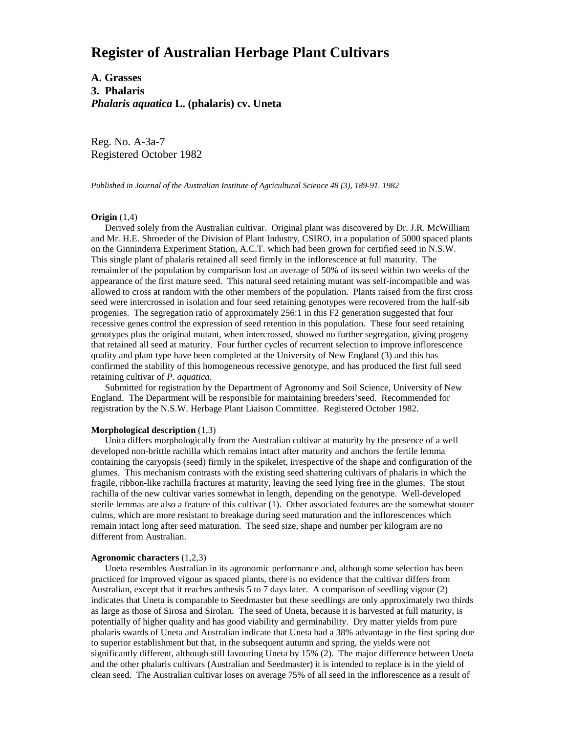# **Register of Australian Herbage Plant Cultivars**

**A. Grasses 3. Phalaris** *Phalaris aquatica* **L. (phalaris) cv. Uneta**

Reg. No. A-3a-7 Registered October 1982

*Published in Journal of the Australian Institute of Agricultural Science 48 (3), 189-91. 1982*

#### **Origin** (1,4)

 Derived solely from the Australian cultivar. Original plant was discovered by Dr. J.R. McWilliam and Mr. H.E. Shroeder of the Division of Plant Industry, CSIRO, in a population of 5000 spaced plants on the Ginninderra Experiment Station, A.C.T. which had been grown for certified seed in N.S.W. This single plant of phalaris retained all seed firmly in the inflorescence at full maturity. The remainder of the population by comparison lost an average of 50% of its seed within two weeks of the appearance of the first mature seed. This natural seed retaining mutant was self-incompatible and was allowed to cross at random with the other members of the population. Plants raised from the first cross seed were intercrossed in isolation and four seed retaining genotypes were recovered from the half-sib progenies. The segregation ratio of approximately 256:1 in this F2 generation suggested that four recessive genes control the expression of seed retention in this population. These four seed retaining genotypes plus the original mutant, when intercrossed, showed no further segregation, giving progeny that retained all seed at maturity. Four further cycles of recurrent selection to improve inflorescence quality and plant type have been completed at the University of New England (3) and this has confirmed the stability of this homogeneous recessive genotype, and has produced the first full seed retaining cultivar of *P. aquatica.*

Submitted for registration by the Department of Agronomy and Soil Science, University of New England. The Department will be responsible for maintaining breeders'seed. Recommended for registration by the N.S.W. Herbage Plant Liaison Committee. Registered October 1982.

### **Morphological description** (1,3)

 Unita differs morphologically from the Australian cultivar at maturity by the presence of a well developed non-brittle rachilla which remains intact after maturity and anchors the fertile lemma containing the caryopsis (seed) firmly in the spikelet, irrespective of the shape and configuration of the glumes. This mechanism contrasts with the existing seed shattering cultivars of phalaris in which the fragile, ribbon-like rachilla fractures at maturity, leaving the seed lying free in the glumes. The stout rachilla of the new cultivar varies somewhat in length, depending on the genotype. Well-developed sterile lemmas are also a feature of this cultivar (1). Other associated features are the somewhat stouter culms, which are more resistant to breakage during seed maturation and the inflorescences which remain intact long after seed maturation. The seed size, shape and number per kilogram are no different from Australian.

### **Agronomic characters** (1,2,3)

 Uneta resembles Australian in its agronomic performance and, although some selection has been practiced for improved vigour as spaced plants, there is no evidence that the cultivar differs from Australian, except that it reaches anthesis 5 to 7 days later. A comparison of seedling vigour (2) indicates that Uneta is comparable to Seedmaster but these seedlings are only approximately two thirds as large as those of Sirosa and Sirolan. The seed of Uneta, because it is harvested at full maturity, is potentially of higher quality and has good viability and germinability. Dry matter yields from pure phalaris swards of Uneta and Australian indicate that Uneta had a 38% advantage in the first spring due to superior establishment but that, in the subsequent autumn and spring, the yields were not significantly different, although still favouring Uneta by 15% (2). The major difference between Uneta and the other phalaris cultivars (Australian and Seedmaster) it is intended to replace is in the yield of clean seed. The Australian cultivar loses on average 75% of all seed in the inflorescence as a result of